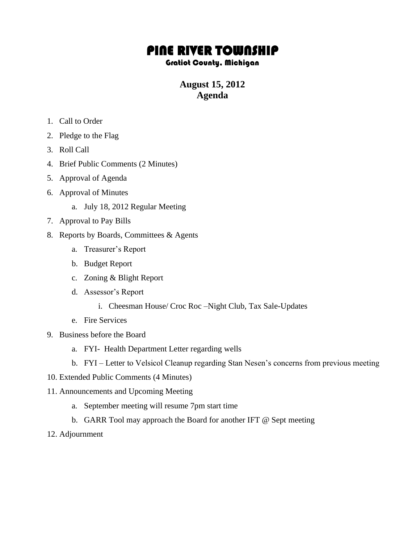# PINE RIVER TOWNSHIP

#### Gratiot County, Michigan

## **August 15, 2012 Agenda**

- 1. Call to Order
- 2. Pledge to the Flag
- 3. Roll Call
- 4. Brief Public Comments (2 Minutes)
- 5. Approval of Agenda
- 6. Approval of Minutes
	- a. July 18, 2012 Regular Meeting
- 7. Approval to Pay Bills
- 8. Reports by Boards, Committees & Agents
	- a. Treasurer's Report
	- b. Budget Report
	- c. Zoning & Blight Report
	- d. Assessor's Report
		- i. Cheesman House/ Croc Roc –Night Club, Tax Sale-Updates
	- e. Fire Services
- 9. Business before the Board
	- a. FYI- Health Department Letter regarding wells
	- b. FYI Letter to Velsicol Cleanup regarding Stan Nesen's concerns from previous meeting
- 10. Extended Public Comments (4 Minutes)
- 11. Announcements and Upcoming Meeting
	- a. September meeting will resume 7pm start time
	- b. GARR Tool may approach the Board for another IFT @ Sept meeting
- 12. Adjournment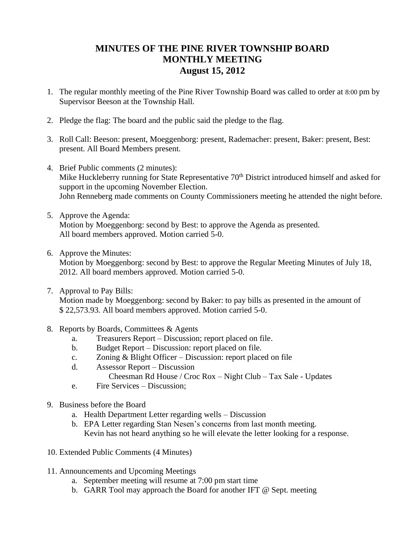## **MINUTES OF THE PINE RIVER TOWNSHIP BOARD MONTHLY MEETING August 15, 2012**

- 1. The regular monthly meeting of the Pine River Township Board was called to order at 8:00 pm by Supervisor Beeson at the Township Hall.
- 2. Pledge the flag: The board and the public said the pledge to the flag.
- 3. Roll Call: Beeson: present, Moeggenborg: present, Rademacher: present, Baker: present, Best: present. All Board Members present.
- 4. Brief Public comments (2 minutes): Mike Huckleberry running for State Representative 70<sup>th</sup> District introduced himself and asked for support in the upcoming November Election. John Renneberg made comments on County Commissioners meeting he attended the night before.
- 5. Approve the Agenda: Motion by Moeggenborg: second by Best: to approve the Agenda as presented. All board members approved. Motion carried 5-0.
- 6. Approve the Minutes: Motion by Moeggenborg: second by Best: to approve the Regular Meeting Minutes of July 18, 2012. All board members approved. Motion carried 5-0.
- 7. Approval to Pay Bills: Motion made by Moeggenborg: second by Baker: to pay bills as presented in the amount of \$ 22,573.93. All board members approved. Motion carried 5-0.
- 8. Reports by Boards, Committees & Agents
	- a. Treasurers Report Discussion; report placed on file.
	- b. Budget Report Discussion: report placed on file.
	- c. Zoning & Blight Officer Discussion: report placed on file
	- d. Assessor Report Discussion
		- Cheesman Rd House / Croc Rox Night Club Tax Sale Updates
	- e. Fire Services Discussion;
- 9. Business before the Board
	- a. Health Department Letter regarding wells Discussion
	- b. EPA Letter regarding Stan Nesen's concerns from last month meeting. Kevin has not heard anything so he will elevate the letter looking for a response.
- 10. Extended Public Comments (4 Minutes)
- 11. Announcements and Upcoming Meetings
	- a. September meeting will resume at 7:00 pm start time
	- b. GARR Tool may approach the Board for another IFT @ Sept. meeting